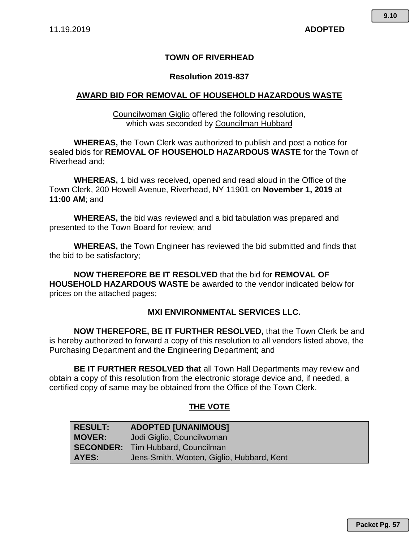## **TOWN OF RIVERHEAD**

### **Resolution 2019-837**

## **AWARD BID FOR REMOVAL OF HOUSEHOLD HAZARDOUS WASTE**

Councilwoman Giglio offered the following resolution, which was seconded by Councilman Hubbard

**WHEREAS,** the Town Clerk was authorized to publish and post a notice for sealed bids for **REMOVAL OF HOUSEHOLD HAZARDOUS WASTE** for the Town of Riverhead and;

**WHEREAS,** 1 bid was received, opened and read aloud in the Office of the Town Clerk, 200 Howell Avenue, Riverhead, NY 11901 on **November 1, 2019** at **11:00 AM**; and

**WHEREAS,** the bid was reviewed and a bid tabulation was prepared and presented to the Town Board for review; and

**WHEREAS,** the Town Engineer has reviewed the bid submitted and finds that the bid to be satisfactory;

**NOW THEREFORE BE IT RESOLVED** that the bid for **REMOVAL OF HOUSEHOLD HAZARDOUS WASTE** be awarded to the vendor indicated below for prices on the attached pages;

### **MXI ENVIRONMENTAL SERVICES LLC.**

**NOW THEREFORE, BE IT FURTHER RESOLVED,** that the Town Clerk be and is hereby authorized to forward a copy of this resolution to all vendors listed above, the Purchasing Department and the Engineering Department; and

**BE IT FURTHER RESOLVED that** all Town Hall Departments may review and obtain a copy of this resolution from the electronic storage device and, if needed, a certified copy of same may be obtained from the Office of the Town Clerk.

## **THE VOTE**

| <b>RESULT:</b> | <b>ADOPTED [UNANIMOUS]</b>                |
|----------------|-------------------------------------------|
| <b>MOVER:</b>  | Jodi Giglio, Councilwoman                 |
|                | <b>SECONDER:</b> Tim Hubbard, Councilman  |
| AYES:          | Jens-Smith, Wooten, Giglio, Hubbard, Kent |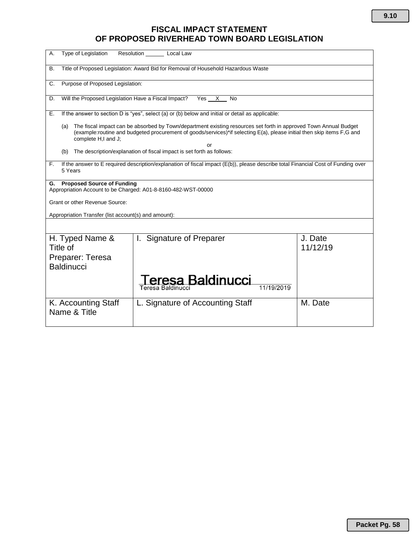## **FISCAL IMPACT STATEMENT OF PROPOSED RIVERHEAD TOWN BOARD LEGISLATION**

| <b>Type of Legislation</b><br>Resolution<br>Local Law<br>А.                                                                                                                                                                                                                    |                                      |                     |  |
|--------------------------------------------------------------------------------------------------------------------------------------------------------------------------------------------------------------------------------------------------------------------------------|--------------------------------------|---------------------|--|
| Title of Proposed Legislation: Award Bid for Removal of Household Hazardous Waste<br>В.                                                                                                                                                                                        |                                      |                     |  |
| Purpose of Proposed Legislation:<br>C.                                                                                                                                                                                                                                         |                                      |                     |  |
| Will the Proposed Legislation Have a Fiscal Impact?<br>Yes X<br>D.<br>No                                                                                                                                                                                                       |                                      |                     |  |
| If the answer to section D is "yes", select (a) or (b) below and initial or detail as applicable:<br>Е.                                                                                                                                                                        |                                      |                     |  |
| The fiscal impact can be absorbed by Town/department existing resources set forth in approved Town Annual Budget<br>(a)<br>(example:routine and budgeted procurement of goods/services)*if selecting E(a), please initial then skip items F,G and<br>complete H,I and J;<br>or |                                      |                     |  |
| The description/explanation of fiscal impact is set forth as follows:<br>(b)                                                                                                                                                                                                   |                                      |                     |  |
| If the answer to E required description/explanation of fiscal impact (E(b)), please describe total Financial Cost of Funding over<br>F.<br>5 Years                                                                                                                             |                                      |                     |  |
| <b>Proposed Source of Funding</b><br>G.<br>Appropriation Account to be Charged: A01-8-8160-482-WST-00000                                                                                                                                                                       |                                      |                     |  |
| Grant or other Revenue Source:                                                                                                                                                                                                                                                 |                                      |                     |  |
| Appropriation Transfer (list account(s) and amount):                                                                                                                                                                                                                           |                                      |                     |  |
|                                                                                                                                                                                                                                                                                |                                      |                     |  |
| H. Typed Name &<br>Title of                                                                                                                                                                                                                                                    | <b>Signature of Preparer</b><br>L.   | J. Date<br>11/12/19 |  |
| Preparer: Teresa<br><b>Baldinucci</b>                                                                                                                                                                                                                                          |                                      |                     |  |
|                                                                                                                                                                                                                                                                                | eresa Baldinucci<br>Teresa Baldinucc |                     |  |
| K. Accounting Staff<br>Name & Title                                                                                                                                                                                                                                            | L. Signature of Accounting Staff     | M. Date             |  |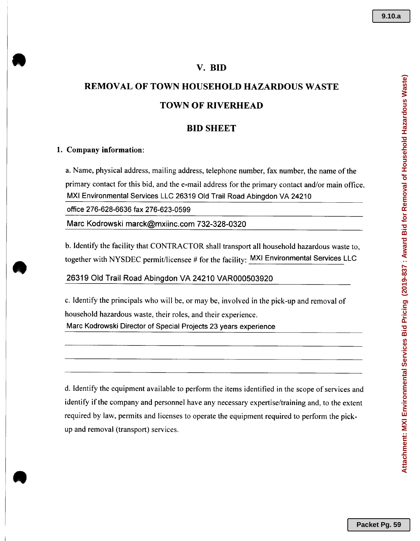### V. BID

# REMOVAL OF TOWN HOUSEHOLD HAZARDOUS WASTE TOWN OF RIVERHEAD

## BID SHEET

#### 1. Company information:

a. Name, physical address, mailing address, telephone number, fax number, the name of the primary contact for this bid, and the e-mail address for the primary contact and/or main office. MXIEnvironmental Services LLC26319 Old Trail Road Abingdon VA24210

office 276-628-6636 fax 276-623-0599

Marc Kodrowski marck@mxiinc.com 732-328-0320

b. Identify the facility that CONTRACTOR shall transport all household hazardous waste to, together with NYSDEC permit/licensee # for the facility: MXI Environmental Services LLC

### 26319 Old Trail Road Abingdon VA 24210 VAR000503920

c. Identify the principals who will be, or may be, involved in the pick-up and removal of household hazardous waste, their roles, and their experience. Marc Kodrowski Director of Special Projects 23 years experience

d. Identify the equipment available to perform the items identified in the scope of services and identify if the company and personnel have any necessary expertise/training and, to the extent required by law, permits and licenses to operate the equipment required to perform the pickup and removal (transport) services.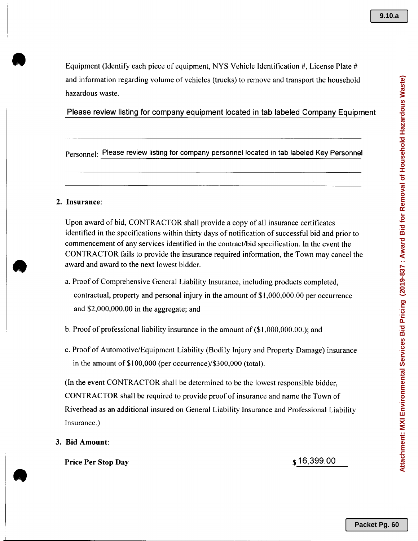Equipment (Identify each piece of equipment, NYS Vehicle Identification #, License Plate # and information regarding volume of vehicles (trucks) to remove and transport the household hazardous waste.

Please review listing for company equipment located in tab labeled Company Equipment

Personnel: Please review listing for company personnel located in tab labeled Key Personnel

### 2. Insurance:

**.** 

Upon award of bid, CONTRACTOR shall provide a copy of all insurance certificates identified in the specifications within thirty days of notification of successful bid and prior to commencement of any services identified in the contract/bid specification. In the event the CONTRACTOR fails to provide the insurance required information, the Town may cancel the award and award to the next lowest bidder.

- a. Proof of Comprehensive General Liability Insurance, including products completed, contractual, property and personal injury in the amount of \$1,000,000.00 per occurrence and \$2,000,000.00 in the aggregate; and
- b. Proof of professional liability insurance in the amount of (\$1,000,000.00.); and
- c. Proof of Automotive/Equipment Liability (Bodily Injury and Property Damage) insurance in the amount of \$100,000 (per occurrence)/\$300,000 (total).

(In the event CONTRACTOR shall be determined to be the lowest responsible bidder, CONTRACTOR shall be required to provide proof of insurance and name the Town of Riverhead as an additional insured on General Liability Insurance and Professional Liability Insurance.)

3. **Bid** Amount:

Price Per Stop Day \$16,399.00